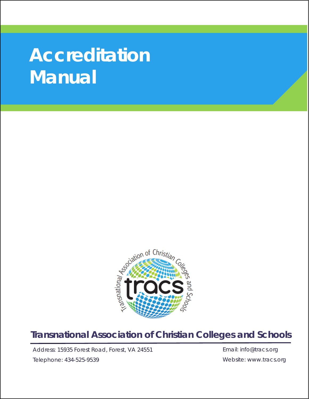# **Accreditation Manual**



### **Transnational Association of Christian Colleges and Schools**

Address: 15935 Forest Road, Forest, VA 24551

Telephone: 434-525-9539

Email: info@tracs.org Website: www.tracs.org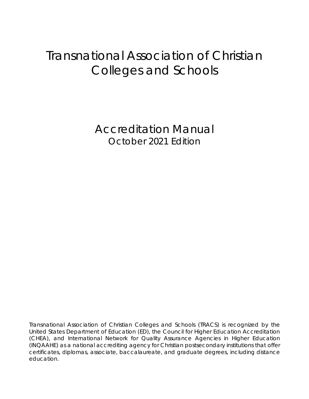## Transnational Association of Christian Colleges and Schools

Accreditation Manual October 2021 Edition

Transnational Association of Christian Colleges and Schools (TRACS) is recognized by the United States Department of Education (ED), the Council for Higher Education Accreditation (CHEA), and International Network for Quality Assurance Agencies in Higher Education (INQAAHE) as a national accrediting agency for Christian postsecondary institutions that offer certificates, diplomas, associate, baccalaureate, and graduate degrees, including distance education.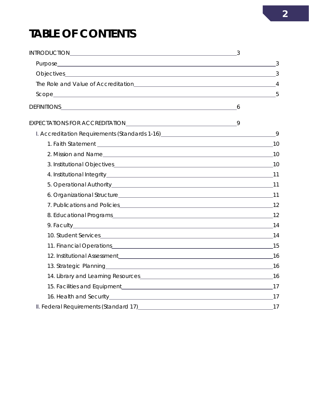# **TABLE OF CONTENTS**

| Objectives 3                   |  |
|--------------------------------|--|
|                                |  |
|                                |  |
| DEFINITIONS 6                  |  |
|                                |  |
|                                |  |
|                                |  |
|                                |  |
|                                |  |
|                                |  |
|                                |  |
| 6. Organizational Structure 11 |  |
|                                |  |
|                                |  |
|                                |  |
|                                |  |
| 11. Financial Operations 15    |  |
|                                |  |
|                                |  |
|                                |  |
|                                |  |
|                                |  |
|                                |  |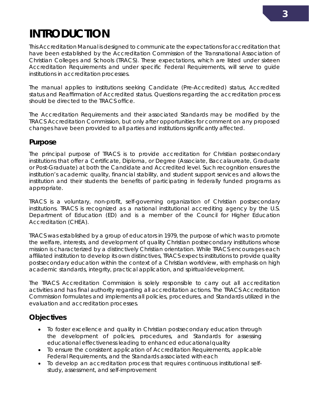### **3**

# <span id="page-4-0"></span>**INTRODUCTION**

This *Accreditation Manual* is designed to communicate the expectations for accreditation that have been established by the Accreditation Commission of the *Transnational Association of Christian Colleges and Schools* (TRACS). These expectations, which are listed under sixteen Accreditation Requirements and under specific Federal Requirements, will serve to guide institutions in accreditation processes.

The manual applies to institutions seeking Candidate (Pre-Accredited) status, Accredited status and Reaffirmation of Accredited status. Questions regarding the accreditation process should be directed to the TRACS office.

The Accreditation Requirements and their associated Standards may be modified by the TRACS Accreditation Commission, but only after opportunities for comment on any proposed changes have been provided to all parties and institutions significantly affected.

#### **Purpose**

The principal purpose of TRACS is to provide accreditation for Christian postsecondary institutions that offer a Certificate, Diploma, or Degree (Associate, Baccalaureate, Graduate or Post-Graduate) at both the Candidate and Accredited level. Such recognition ensures the institution's academic quality, financial stability, and student support services and allows the institution and their students the benefits of participating in federally funded programs as appropriate.

TRACS is a voluntary, non-profit, self-governing organization of Christian postsecondary institutions. TRACS is recognized as a national institutional accrediting agency by the U.S. Department of Education (ED) and is a member of the Council for Higher Education Accreditation (CHEA).

TRACS was established by a group of educators in 1979, the purpose of which was to promote the welfare, interests, and development of quality Christian postsecondary institutions whose mission is characterized by a distinctively Christian orientation. While TRACS encourages each affiliated institution to develop its own distinctives, TRACS expects institutions to provide quality postsecondary education within the context of a Christian worldview, with emphasis on high academic standards, integrity, practical application, and spiritualdevelopment.

The TRACS Accreditation Commission is solely responsible to carry out all accreditation activities and has final authority regarding all accreditation actions. The TRACS Accreditation Commission formulates and implements all policies, procedures, and Standards utilized in the evaluation and accreditation processes.

#### **Objectives**

- To foster excellence and quality in Christian postsecondary education through the development of policies, procedures, and Standards for assessing educational effectiveness leading to enhanced educationalquality
- To ensure the consistent application of Accreditation Requirements, applicable Federal Requirements, and the Standards associated witheach
- To develop an accreditation process that requires continuous institutional selfstudy, assessment, and self-improvement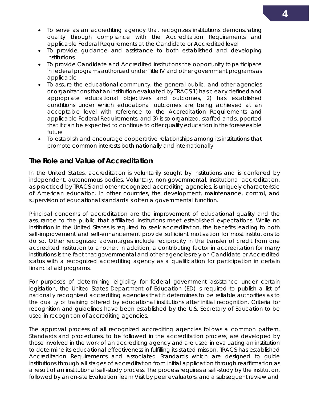- To serve as an accrediting agency that recognizes institutions demonstrating quality through compliance with the Accreditation Requirements and applicable Federal Requirements at the Candidate or Accreditedlevel
- To provide guidance and assistance to both established and developing institutions
- To provide Candidate and Accredited institutions the opportunity toparticipate in federal programs authorized under Title IV and other government programs as applicable
- To assure the educational community, the general public, and other agencies or organizations that an institution evaluated by TRACS 1) has clearly defined and appropriate educational objectives and outcomes, 2) has established conditions under which educational outcomes are being achieved at an acceptable level with reference to the Accreditation Requirements and applicable Federal Requirements, and 3) is so organized, staffed andsupported that it can be expected to continue to offer quality education in the foreseeable future
- To establish and encourage cooperative relationships among its institutions that promote common interests both nationally and internationally

#### **The Role and Value of Accreditation**

In the United States, accreditation is voluntarily sought by institutions and is conferred by independent, autonomous bodies. Voluntary, non-governmental, institutional accreditation, as practiced by TRACS and other recognized accrediting agencies, is uniquely characteristic of American education. In other countries, the development, maintenance, control, and supervision of educational standards is often a governmental function.

Principal concerns of accreditation are the improvement of educational quality and the assurance to the public that affiliated institutions meet established expectations. While no institution in the United States is required to seek accreditation, the benefits leading to both self-improvement and self-enhancement provide sufficient motivation for most institutions to do so. Other recognized advantages include reciprocity in the transfer of credit from one accredited institution to another. In addition, a contributing factor in accreditation for many institutions is the fact that governmental and other agencies rely on Candidate or Accredited status with a recognized accrediting agency as a qualification for participation in certain financial aid programs.

For purposes of determining eligibility for federal government assistance under certain legislation, the United States Department of Education (ED) is required to publish a list of nationally recognized accrediting agencies that it determines to be reliable authorities as to the quality of training offered by educational institutions after initial recognition. Criteria for recognition and guidelines have been established by the U.S. Secretary of Education to be used in recognition of accrediting agencies.

The approval process of all recognized accrediting agencies follows a common pattern. Standards and procedures, to be followed in the accreditation process, are developed by those involved in the work of an accrediting agency and are used in evaluating an institution to determine its educational effectiveness in fulfilling its stated mission. TRACS has established Accreditation Requirements and associated Standards which are designed to guide institutions through all stages of accreditation from initial application through reaffirmation as a result of an institutional self-study process. The process requires a self-study by the institution, followed by an on-site Evaluation Team Visit by peer evaluators, and a subsequent review and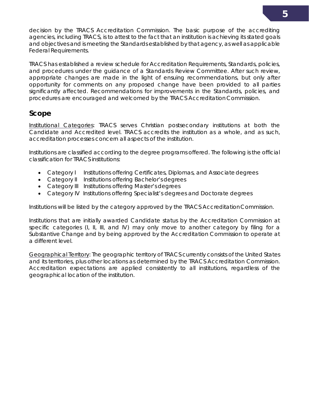decision by the TRACS Accreditation Commission. The basic purpose of the accrediting agencies, including TRACS, is to attest to the fact that an institution is achieving its stated goals and objectives and is meeting the Standards established by that agency, as well as applicable Federal Requirements.

TRACS has established a review schedule for Accreditation Requirements, Standards, policies, and procedures under the guidance of a Standards Review Committee. After such review, appropriate changes are made in the light of ensuing recommendations, but only after opportunity for comments on any proposed change have been provided to all parties significantly affected. Recommendations for improvements in the Standards, policies, and procedures are encouraged and welcomed by the TRACS Accreditation Commission.

#### **Scope**

Institutional Categories: TRACS serves Christian postsecondary institutions at both the Candidate and Accredited level. TRACS accredits the institution as a whole, and as such, accreditation processes concern all aspects of the institution.

Institutions are classified according to the degree programs offered. The following is the official classification for TRACS institutions:

- Category I Institutions offering Certificates, Diplomas, and Associate degrees
- Category II Institutions offering Bachelor's degrees
- Category III Institutions offering Master's degrees
- Category IV Institutions offering Specialist's degrees and Doctorate degrees

Institutions will be listed by the category approved by the TRACS AccreditationCommission.

Institutions that are initially awarded Candidate status by the Accreditation Commission at specific categories (I, II, III, and IV) may only move to another category by filing for a Substantive Change and by being approved by the Accreditation Commission to operate at a different level.

Geographical Territory: The geographic territory of TRACS currently consists of the United States and its territories, plus other locations as determined by the TRACS Accreditation Commission. Accreditation expectations are applied consistently to all institutions, regardless of the geographical location of the institution.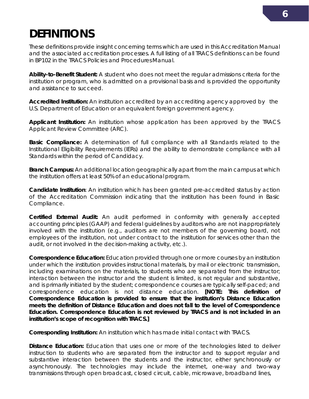# **DEFINITIONS**

These definitions provide insight concerning terms which are used in this *Accreditation Manual*  and the associated accreditation processes. A full listing of all TRACS definitions can be found in BP102 in the *TRACS Policies and Procedures Manual.*

*Ability-to-Benefit Student:* A student who does not meet the regular admissions criteria for the institution or program, who is admitted on a provisional basis and is provided the opportunity and assistance to succeed.

*Accredited Institution:* An institution accredited by an accrediting agency approved by the U.S. Department of Education or an equivalent foreign government agency.

*Applicant Institution:* An institution whose application has been approved by the TRACS Applicant Review Committee (ARC).

*Basic Compliance:* A determination of full compliance with all Standards related to the Institutional Eligibility Requirements (IERs) and the ability to demonstrate compliance with all Standards within the period of Candidacy.

*Branch Campus:* An additional location geographically apart from the main campus at which the institution offers at least 50% of an educational program.

*Candidate Institution:* An institution which has been granted pre-accredited status by action of the Accreditation Commission indicating that the institution has been found in *Basic Compliance*.

*Certified External Audit:* An audit performed in conformity with generally accepted accounting principles (GAAP) and federal guidelines by auditors who are not inappropriately involved with the institution (e.g., auditors are not members of the governing board, not employees of the institution, not under contract to the institution for services other than the audit, or not involved in the decision-making activity, etc.).

*Correspondence Education:* Education provided through one or more courses by an institution under which the institution provides instructional materials, by mail or electronic transmission, including examinations on the materials, to students who are separated from the instructor; interaction between the instructor and the student is limited, is not regular and substantive, and is primarily initiated by the student; correspondence courses are typically self-paced; and correspondence education is not distance education. *[NOTE: This definition of Correspondence Education is provided to ensure that the institution's Distance Education meets the definition of Distance Education and does not fall to the level of Correspondence Education. Correspondence Education is not reviewed by TRACS and is not included in an institution's scope of recognition with TRACS.]*

*Corresponding Institution***:** An institution which has made initial contact with TRACS.

**Distance Education:** Education that uses one or more of the technologies listed to deliver instruction to students who are separated from the instructor and to support regular and substantive interaction between the students and the instructor, either synchronously or asynchronously. The technologies may include the internet, one-way and two-way transmissions through open broadcast, closed circuit, cable, microwave, broadband lines,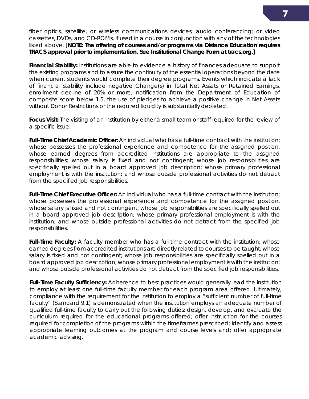fiber optics, satellite, or wireless communications devices; audio conferencing; or video cassettes, DVDs, and CD-ROMs, if used in a course in conjunction with any of the technologies listed above. [*NOTE: The offering of courses and/or programs via Distance Education requires TRACS approval prior to implementation. See Institutional Change Form at tracs.org.]*

*Financial Stability:* Institutions are able to evidence a history of finances adequate to support the existing programs and to assure the continuity of the essential operations beyond the date when current students would complete their degree programs. Events which indicate a lack of financial stability include negative Change(s) in Total Net Assets or Retained Earnings, enrollment decline of 20% or more, notification from the Department of Education of composite score below 1.5, the use of pledges to achieve a positive change in Net Assets without Donor Restrictions or the required liquidity is substantially depleted.

*Focus Visit:* The visiting of an institution by either a small team or staff required for the review of a specific issue.

*Full-Time Chief Academic Officer:* An individual who has a full-time contract with the institution; whose possesses the professional experience and competence for the assigned position, whose earned degrees from accredited institutions are appropriate to the assigned responsibilities; whose salary is fixed and not contingent; whose job responsibilities are specifically spelled out in a board approved job description; whose primary professional employment is with the institution; and whose outside professional activities do not detract from the specified job responsibilities.

*Full-Time Chief Executive Officer:* An individual who has a full-time contract with the institution; whose possesses the professional experience and competence for the assigned position, whose salary is fixed and not contingent; whose job responsibilities are specifically spelled out in a board approved job description; whose primary professional employment is with the institution; and whose outside professional activities do not detract from the specified job responsibilities.

*Full-Time Faculty:* A faculty member who has a full-time contract with the institution; whose earned degrees from accredited institutions are directly related to courses to be taught; whose salary is fixed and not contingent; whose job responsibilities are specifically spelled out in a board approved job description; whose primary professional employment is with the institution; and whose outside professional activities do not detract from the specified job responsibilities.

*Full-Time Faculty Sufficiency:* Adherence to best practices would generally lead the institution to employ at least one full-time faculty member for each program area offered. Ultimately, compliance with the requirement for the institution to employ a "sufficient number of full-time faculty" (Standard 9.1) is demonstrated when the institution employs an adequate number of qualified full-time faculty to carry out the following duties: design, develop, and evaluate the curriculum required for the educational programs offered; offer instruction for the courses required for completion of the programs within the timeframes prescribed; identify and assess appropriate learning outcomes at the program and course levels and; offer appropriate academic advising.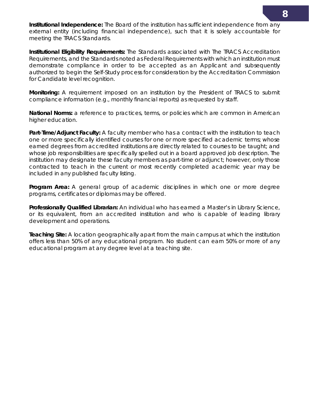**Institutional Independence:** The Board of the institution has sufficient independence from any external entity (including financial independence), such that it is solely accountable for meeting the TRACS Standards.

*Institutional Eligibility Requirements:* The Standards associated with The TRACS Accreditation Requirements, and the Standards noted as Federal Requirements with which an institution must demonstrate compliance in order to be accepted as an *Applicant* and subsequently authorized to begin the Self-Study process for consideration by the Accreditation Commission for Candidate level recognition.

*Monitoring:* A requirement imposed on an institution by the President of TRACS to submit compliance information (e.g., monthly financial reports) as requested by staff.

*National Norms:* a reference to practices, terms, or policies which are common in American higher education.

Part-Time/Adjunct Faculty: A faculty member who has a contract with the institution to teach one or more specifically identified courses for one or more specified academic terms; whose earned degrees from accredited institutions are directly related to courses to be taught; and whose job responsibilities are specifically spelled out in a board approved job description. The institution may designate these faculty members as part-time or adjunct; however, only those contracted to teach in the current or most recently completed academic year may be included in any published faculty listing.

*Program Area:* A general group of academic disciplines in which one or more degree programs, certificates or diplomas may be offered.

*Professionally Qualified Librarian:* An individual who has earned a Master's in Library Science, or its equivalent, from an accredited institution and who is capable of leading library development and operations.

*Teaching Site:* A location geographically apart from the main campus at which the institution offers less than 50% of any educational program. No student can earn 50% or more of any educational program at any degree level at a teaching site.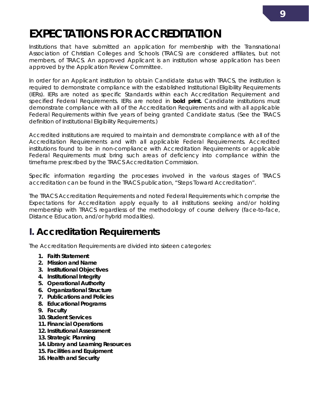### <span id="page-10-0"></span>**EXPECTATIONS FOR ACCREDITATION**

Institutions that have submitted an application for membership with the Transnational Association of Christian Colleges and Schools (TRACS) are considered affiliates, but not members, of TRACS. An approved Applicant is an institution whose application has been approved by the Application Review Committee.

In order for an Applicant institution to obtain Candidate status with TRACS, the institution is required to demonstrate compliance with the established Institutional Eligibility Requirements (IERs). IERs are noted as specific Standards within each Accreditation Requirement and specified Federal Requirements. IERs are noted in **bold print.** Candidate institutions must demonstrate compliance with all of the Accreditation Requirements and with all applicable Federal Requirements within five years of being granted Candidate status. (See the TRACS definition of *Institutional Eligibility Requirements.*)

Accredited institutions are required to maintain and demonstrate compliance with all of the Accreditation Requirements and with all applicable Federal Requirements. Accredited institutions found to be in non-compliance with Accreditation Requirements or applicable Federal Requirements must bring such areas of deficiency into compliance within the timeframe prescribed by the TRACS Accreditation Commission.

Specific information regarding the processes involved in the various stages of TRACS accreditation can be found in the TRACS publication, *"Steps Toward Accreditation".*

The TRACS Accreditation Requirements and noted Federal Requirements which comprise the Expectations for Accreditation apply equally to all institutions seeking and/or holding membership with TRACS regardless of the methodology of course delivery (face-to-face, Distance Education, and/or hybrid modalities).

### **I. Accreditation Requirements**

The Accreditation Requirements are divided into sixteen categories:

- **1. Faith Statement**
- **2. Mission and Name**
- **3. Institutional Objectives**
- **4. Institutional Integrity**
- **5. Operational Authority**
- **6. Organizational Structure**
- **7. Publications and Policies**
- **8. Educational Programs**
- **9. Faculty**
- **10. Student Services**
- **11. Financial Operations**
- **12. Institutional Assessment**
- **13. Strategic Planning**
- **14. Library and Learning Resources**
- **15. Facilities and Equipment**
- **16. Health and Security**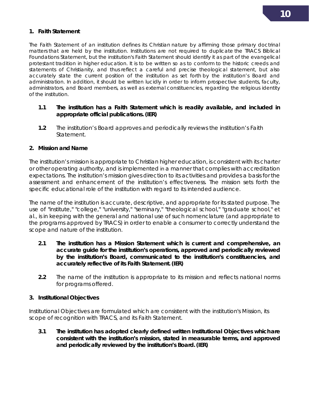#### **1. Faith Statement**

The Faith Statement of an institution defines its Christian nature by affirming those primary doctrinal matters that are held by the institution. Institutions are not required to duplicate the TRACS Biblical Foundations Statement, but the institution's Faith Statement should identify it as part of the evangelical protestant tradition in higher education. It is to be written so as to conform to the historic creeds and statements of Christianity, and thus reflect a careful and precise theological statement, but also accurately state the current position of the institution as set forth by the institution's Board and administration. In addition, it should be written lucidly in order to inform prospective students, faculty, administrators, and Board members, as well as external constituencies, regarding the religious identity of the institution.

#### **1.1 The institution has a Faith Statement which is readily available, and included in appropriate official publications. (IER)**

**1.2** The institution's Board approves and periodically reviews the institution's Faith Statement.

#### **2. Mission and Name**

The institution's mission is appropriate to Christian higher education, is consistent with its charter or other operating authority, and is implemented in a manner that complies with accreditation expectations. The institution's mission gives direction to its activities and provides a basis for the assessment and enhancement of the institution's effectiveness. The mission sets forth the specific educational role of the institution with regard to its intended audience.

The name of the institution is accurate, descriptive, and appropriate for its stated purpose. The use of "institute," "college," "university," "seminary," "theological school," "graduate school," et al., is in keeping with the general and national use of such nomenclature (and appropriate to the programs approved by TRACS) in order to enable a consumer to correctly understand the scope and nature of the institution.

- **2.1 The institution has a Mission Statement which is current and comprehensive, an accurate guide for the institution's operations, approved and periodically reviewed by the institution's Board, communicated to the institution's constituencies, and accurately reflective of its Faith Statement.(IER)**
- **2.2** The name of the institution is appropriate to its mission and reflects national norms for programs offered.

#### **3. Institutional Objectives**

Institutional Objectives are formulated which are consistent with the institution's Mission, its scope of recognition with TRACS, and its Faith Statement.

**3.1 The institution has adopted clearly defined written Institutional Objectives whichare consistent with the institution's mission, stated in measurable terms, and approved and periodically reviewed by the institution's Board.(IER)**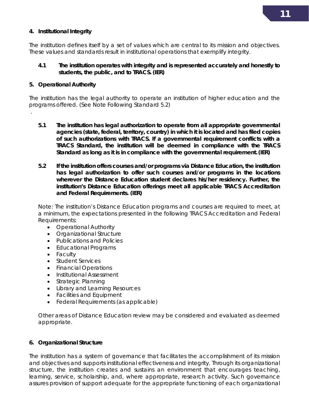#### **4. Institutional Integrity**

The institution defines itself by a set of values which are central to its mission and objectives. These values and standards result in institutional operations that exemplify integrity.

#### **4.1 The institution operates with integrity and is represented accurately and honestly to students, the public, and to TRACS. (IER)**

#### **5. Operational Authority**

.

The institution has the legal authority to operate an institution of higher education and the programs offered. (See Note Following Standard 5.2)

- **5.1 The institution has legal authorization to operate from all appropriate governmental agencies (state, federal, territory, country) in which it is located and has filed copies of such authorizations with TRACS. If a governmental requirement conflicts with a TRACS Standard, the institution will be deemed in compliance with the TRACS Standard as long as it is in compliance with the governmental requirement.(IER)**
- **5.2 If the institution offers courses and/or programs via Distance Education, the institution has legal authorization to offer such courses and/or programs in the locations wherever the Distance Education student declares his/her residency. Further, the institution's Distance Education offerings meet all applicable TRACS Accreditation and Federal Requirements. (IER)**

Note: The institution's Distance Education programs and courses are required to meet, at a minimum, the expectations presented in the following TRACS Accreditation and Federal Requirements:

- Operational Authority
- Organizational Structure
- Publications and Policies
- Educational Programs
- Faculty
- Student Services
- Financial Operations
- Institutional Assessment
- Strategic Planning
- Library and Learning Resources
- Facilities and Equipment
- Federal Requirements (as applicable)

Other areas of Distance Education review may be considered and evaluated as deemed appropriate.

#### **6. Organizational Structure**

The institution has a system of governance that facilitates the accomplishment of its mission and objectives and supports institutional effectiveness and integrity. Through its organizational structure, the institution creates and sustains an environment that encourages teaching, learning, service, scholarship, and, where appropriate, research activity. Such governance assures provision of support adequate for the appropriate functioning of each organizational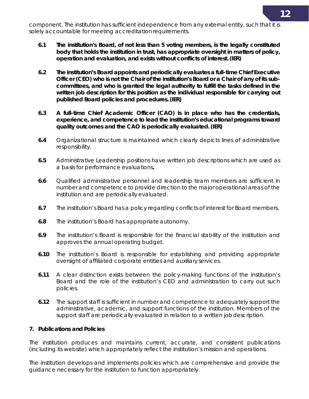component. The institution has sufficient independence from any external entity, such that it is solely accountable for meeting accreditation requirements.

- **6.1 The institution's Board, of not less than 5 voting members, is the legally constituted body that holds the institution in trust, has appropriate oversight in matters of policy, operation and evaluation, and exists without conflicts of interest.(IER)**
- **6.2 The institution's Board appoints and periodically evaluates a full-time Chief Executive Officer (CEO) who is not the Chair of the institution's Board or a Chair of any of its subcommittees, and who is granted the legal authority to fulfill the tasks defined in the written job description for this position as the individual responsible for carrying out published Board policies and procedures.(IER)**
- **6.3 A full-time Chief Academic Officer (CAO) is in place who has the credentials, experience, and competence to lead the institution's educational programs toward quality outcomes and the CAO is periodically evaluated.(IER)**
- **6.4** Organizational structure is maintained which clearly depicts lines of administrative responsibility.
- **6.5** Administrative Leadership positions have written job descriptions which are used as a basis for performance evaluations**.**
- **6.6** Qualified administrative personnel and leadership team members are sufficient in number and competence to provide direction to the major operational areas of the institution and are periodically evaluated.
- **6.7** The institution's Board has a policy regarding conflicts of interest for Board members.
- **6.8** The institution's Board has appropriate autonomy.
- **6.9** The institution's Board is responsible for the financial stability of the institution and approves the annual operating budget.
- **6.10** The institution's Board is responsible for establishing and providing appropriate oversight of affiliated corporate entities and auxiliary services.
- **6.11** A clear distinction exists between the policy-making functions of the institution's Board and the role of the institution's CEO and administration to carry out such policies.
- **6.12** The support staff is sufficient in number and competence to adequately support the administrative, academic, and support functions of the institution. Members of the support staff are periodically evaluated in relation to a written jobdescription.

#### **7. Publications and Policies**

The institution produces and maintains current, accurate, and consistent publications (including its website) which appropriately reflect the institution's mission and operations.

The institution develops and implements policies which are comprehensive and provide the guidance necessary for the institution to function appropriately.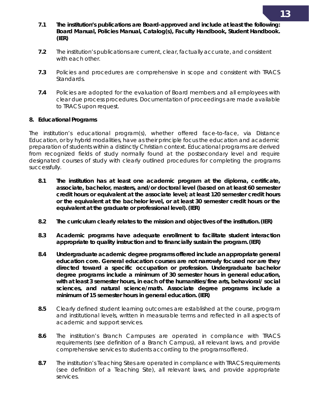- **7.1 The institution's publications are Board-approved and include at least the following:**  *Board Manual, Policies Manual, Catalog(s), Faculty Handbook, Student Handbook***. (IER)**
- **7.2** The institution's publications are current, clear, factually accurate, and consistent with each other.
- **7.3** Policies and procedures are comprehensive in scope and consistent with TRACS Standards.
- **7.4** Policies are adopted for the evaluation of Board members and all employees with clear due process procedures. Documentation of proceedings are made available to TRACS upon request.

#### **8. Educational Programs**

The institution's educational program(s), whether offered face-to-face, via Distance Education, or by hybrid modalities, have as their principle focus the education and academic preparation of students within a distinctly Christian context. Educational programs are derived from recognized fields of study normally found at the postsecondary level and require designated courses of study with clearly outlined procedures for completing the programs successfully.

- **8.1 The institution has at least one academic program at the diploma, certificate, associate, bachelor, masters, and/or doctoral level (based on at least 60 semester credit hours or equivalent at the associate level; at least 120 semester credit hours or the equivalent at the bachelor level, or at least 30 semester credit hours or the equivalent at the graduate or professional level).(IER)**
- **8.2 The curriculum clearly relates to the mission and objectives of the institution.(IER)**
- **8.3 Academic programs have adequate enrollment to facilitate student interaction appropriate to quality instruction and to financially sustain the program.(IER)**
- **8.4 Undergraduate academic degree programs offered include an appropriate general education core. General education courses are not narrowly focused nor are they directed toward a specific occupation or profession. Undergraduate bachelor degree programs include a minimum of 30 semester hours in general education, with at least 3 semester hours, in each of the humanities/fine arts, behavioral/ social sciences, and natural science/math. Associate degree programs include a minimum of 15 semester hours in general education.(IER)**
- **8.5** Clearly defined student learning outcomes are established at the course, program and institutional levels, written in measurable terms and reflected in all aspects of academic and support services.
- **8.6** The institution's Branch Campuses are operated in compliance with TRACS requirements (see definition of a Branch Campus), all relevant laws, and provide comprehensive services to students according to the programs offered.
- **8.7** The institution's Teaching Sites are operated in compliance with TRACS requirements (see definition of a Teaching Site), all relevant laws, and provide appropriate services.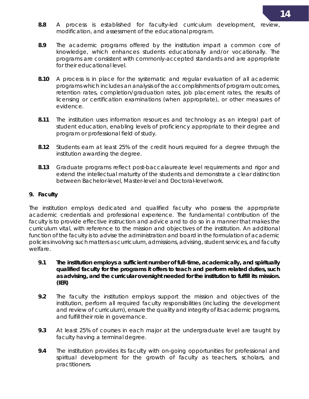- **8.8** A process is established for faculty-led curriculum development, review, modification, and assessment of the educational program.
- **8.9** The academic programs offered by the institution impart a common core of knowledge, which enhances students educationally and/or vocationally. The programs are consistent with commonly-accepted standards and are appropriate for their educational level.
- **8.10** A process is in place for the systematic and regular evaluation of all academic programs which includes an analysis of the accomplishments of program outcomes, retention rates, completion/graduation rates, job placement rates, the results of licensing or certification examinations (when appropriate), or other measures of evidence.
- **8.11** The institution uses information resources and technology as an integral part of student education, enabling levels of proficiency appropriate to their degree and program or professional field of study.
- **8.12** Students earn at least 25% of the credit hours required for a degree through the institution awarding the degree.
- **8.13** Graduate programs reflect post-baccalaureate level requirements and rigor and extend the intellectual maturity of the students and demonstrate a clear distinction between Bachelor-level, Master-level and Doctoral-level work.

#### **9. Faculty**

The institution employs dedicated and qualified faculty who possess the appropriate academic credentials and professional experience. The fundamental contribution of the faculty is to provide effective instruction and advice and to do so in a manner that makes the curriculum vital, with reference to the mission and objectives of the institution. An additional function of the faculty is to advise the administration and board in the formulation of academic policies involving such matters as curriculum, admissions, advising, student services, and faculty welfare.

- **9.1 The institution employs a sufficient number of full-time, academically, and spiritually qualified faculty for the programs it offers to teach and perform related duties, such as advising, and the curricular oversight needed for the institution to fulfill its mission. (IER)**
- **9.2** The faculty the institution employs support the mission and objectives of the institution, perform all required faculty responsibilities (including the development and review of curriculum), ensure the quality and integrity of its academic programs, and fulfill their role in governance.
- **9.3** At least 25% of courses in each major at the undergraduate level are taught by faculty having a terminal degree.
- **9.4** The institution provides its faculty with on-going opportunities for professional and spiritual development for the growth of faculty as teachers, scholars, and practitioners.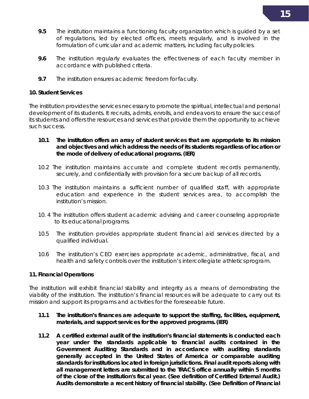- **9.5** The institution maintains a functioning faculty organization which is guided by a set of regulations, led by elected officers, meets regularly, and is involved in the formulation of curricular and academic matters, including faculty policies.
- **9.6** The institution regularly evaluates the effectiveness of each faculty member in accordance with published criteria.
- **9.7** The institution ensures academic freedom for faculty.

#### **10. Student Services**

The institution provides the services necessary to promote the spiritual, intellectual and personal development of its students. It recruits, admits, enrolls, and endeavors to ensure the success of its students and offers the resources and services that provide them the opportunity to achieve such success.

- **10.1 The institution offers an array of student services that are appropriate to its mission and objectives and which address the needs of its students regardless of location or the mode of delivery of educational programs. (IER)**
- 10.2 The institution maintains accurate and complete student records permanently, securely, and confidentially with provision for a secure backup of all records.
- 10.3 The institution maintains a sufficient number of qualified staff, with appropriate education and experience in the student services area, to accomplish the institution's mission.
- 10. 4 The institution offers student academic advising and career counseling appropriate to its educational programs.
- 10.5 The institution provides appropriate student financial aid services directed by a qualified individual.
- 10.6 The institution's CEO exercises appropriate academic, administrative, fiscal, and health and safety controls over the institution's intercollegiate athleticsprogram.

#### **11. Financial Operations**

The institution will exhibit financial stability and integrity as a means of demonstrating the viability of the institution. The institution's financial resources will be adequate to carry out its mission and support its programs and activities for the foreseeable future.

- **11.1 The institution's finances are adequate to support the staffing, facilities, equipment, materials, and support services for the approved programs.(IER)**
- **11.2 A certified external audit of the institution's financial statements is conducted each year under the standards applicable to financial audits contained in the Government Auditing Standards and in accordance with auditing standards generally accepted in the United States of America or comparable auditing standards for institutions located in foreign jurisdictions. Final audit reports along with all management letters are submitted to the TRACS office annually within 5 months of the close of the institution's fiscal year. (See definition of** *Certified External Audit***.) Audits demonstrate a recent history of financial stability. (See Definition of** *Financial*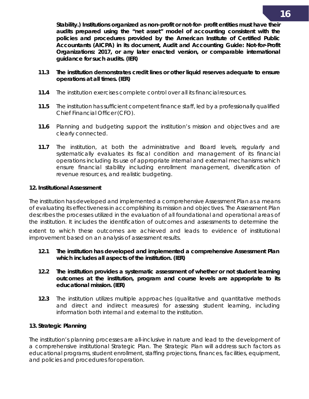*Stability.***) Institutions organized as non-profit or not-for- profit entities must have their audits prepared using the "net asset" model of accounting consistent with the policies and procedures provided by the American Institute of Certified Public Accountants (AICPA) in its document,** *Audit and Accounting Guide: Not-for-Profit Organizations: 2017,* **or any later enacted version, or comparable international guidance for such audits. (IER)**

- **11.3 The institution demonstrates credit lines or other liquid reserves adequate to ensure operations at all times. (IER)**
- **11.4** The institution exercises complete control over all its financialresources.
- **11.5** The institution has sufficient competent finance staff, led by a professionally qualified Chief Financial Officer (CFO).
- **11.6** Planning and budgeting support the institution's mission and objectives and are clearly connected.
- **11.7** The institution, at both the administrative and Board levels, regularly and systematically evaluates its fiscal condition and management of its financial operations including its use of appropriate internal and external mechanisms which ensure financial stability including enrollment management, diversification of revenue resources, and realistic budgeting.

#### **12. Institutional Assessment**

The institution has developed and implemented a comprehensive *Assessment Plan* as a means of evaluating its effectiveness in accomplishing its mission and objectives. The *Assessment Plan*  describes the processes utilized in the evaluation of all foundational and operational areas of the institution. It includes the identification of outcomes and assessments to determine the

extent to which these outcomes are achieved and leads to evidence of institutional improvement based on an analysis of assessment results.

- **12.1 The institution has developed and implemented a comprehensive** *Assessment Plan* **which includes all aspects of the institution. (IER)**
- **12.2 The institution provides a systematic assessment of whether or not student learning outcomes at the institution, program and course levels are appropriate to its educational mission. (IER)**
- **12.3** The institution utilizes multiple approaches (qualitative and quantitative methods and direct and indirect measures) for assessing student learning, including information both internal and external to the institution.

#### **13. Strategic Planning**

The institution's planning processes are all-inclusive in nature and lead to the development of a comprehensive institutional *Strategic Plan*. The *Strategic Plan* will address such factors as educational programs, student enrollment, staffing projections, finances, facilities, equipment, and policies and procedures for operation.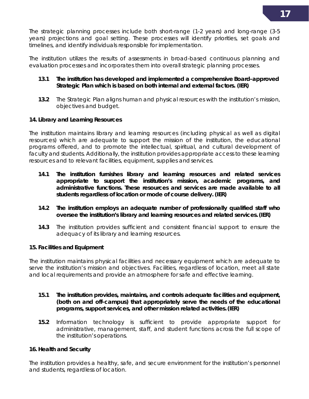

The strategic planning processes include both short-range (1-2 years) and long-range (3-5 years) projections and goal setting. These processes will identify priorities, set goals and timelines, and identify individuals responsible for implementation.

The institution utilizes the results of assessments in broad-based continuous planning and evaluation processes and incorporates them into overall strategic planning processes.

#### **13.1 The institution has developed and implemented a comprehensive Board-approved** *Strategic Plan* **which is based on both internal and external factors. (IER)**

**13.2** The *Strategic Plan* aligns human and physical resources with the institution's mission, objectives and budget.

#### **14. Library and Learning Resources**

The institution maintains library and learning resources (including physical as well as digital resources) which are adequate to support the mission of the institution, the educational programs offered, and to promote the intellectual, spiritual, and cultural development of faculty and students. Additionally, the institution provides appropriate access to these learning resources and to relevant facilities, equipment, supplies andservices.

- **14.1 The institution furnishes library and learning resources and related services appropriate to support the institution's mission, academic programs, and administrative functions. These resources and services are made available to all students regardless of location or mode of course delivery. (IER)**
- **14.2 The institution employs an adequate number of professionally qualified staff who oversee the institution's library and learning resources and related services.(IER)**
- **14.3** The institution provides sufficient and consistent financial support to ensure the adequacy of its library and learning resources.

#### **15. Facilities and Equipment**

The institution maintains physical facilities and necessary equipment which are adequate to serve the institution's mission and objectives. Facilities, regardless of location, meet all state and local requirements and provide an atmosphere for safe and effective learning.

- **15.1 The institution provides, maintains, and controls adequate facilities and equipment, (both on and off-campus) that appropriately serve the needs of the educational programs, support services, and other mission related activities.(IER)**
- **15.2** Information technology is sufficient to provide appropriate support for administrative, management, staff, and student functions across the full scope of the institution's operations.

#### **16. Health and Security**

The institution provides a healthy, safe, and secure environment for the institution's personnel and students, regardless of location.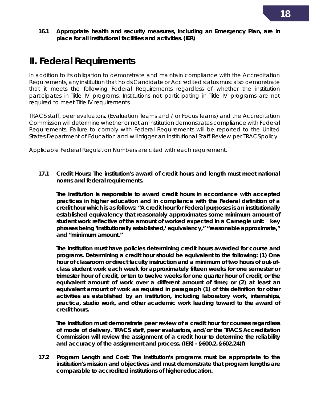**16.1 Appropriate health and security measures, including an Emergency Plan, are in place for all institutional facilities and activities.(IER)**

### **II. Federal Requirements**

In addition to its obligation to demonstrate and maintain compliance with the Accreditation Requirements, any institution that holds Candidate or Accredited status must also demonstrate that it meets the following Federal Requirements regardless of whether the institution participates in Title IV programs. Institutions not participating in Title IV programs are not required to meet Title IV requirements.

TRACS staff, peer evaluators, (Evaluation Teams and / or Focus Teams) and the Accreditation Commission will determine whether or not an institution demonstrates compliance with Federal Requirements. Failure to comply with Federal Requirements will be reported to the United States Department of Education and will trigger an Institutional Staff Review per TRACSpolicy.

Applicable Federal Regulation Numbers are cited with each requirement.

**17.1 Credit Hours: The institution's award of credit hours and length must meet national norms and federal requirements.**

**The institution is responsible to award credit hours in accordance with accepted practices in higher education and in compliance with the Federal definition of a credit hour which is as follows: "A credit hour for Federal purposes is an institutionally established equivalency that reasonably approximates some minimum amount of student work reflective of the amount of worked expected in a Carnegie unit: key phrases being 'institutionally established,' equivalency," "reasonable approximate," and "minimum amount."**

**The institution must have policies determining credit hours awarded for course and programs. Determining a credit hour should be equivalent to the following: (1) One hour of classroom or direct faculty instruction and a minimum of two hours of out-ofclass student work each week for approximately fifteen weeks for one semester or trimester hour of credit, or ten to twelve weeks for one quarter hour of credit, or the equivalent amount of work over a different amount of time; or (2) at least an equivalent amount of work as required in paragraph (1) of this definition for other activities as established by an institution, including laboratory work, internships, practica, studio work, and other academic work leading toward to the award of credit hours.**

**The institution must demonstrate peer review of a credit hour for courses regardless of mode of delivery. TRACS staff, peer evaluators, and/or the TRACS Accreditation Commission will review the assignment of a credit hour to determine the reliability and accuracy of the assignment and process. (IER) - §600.2, §602.24(f)**

**17.2 Program Length and Cost***:* **The institution's programs must be appropriate to the institution's mission and objectives and must demonstrate that program lengths are comparable to accredited institutions of higher education.**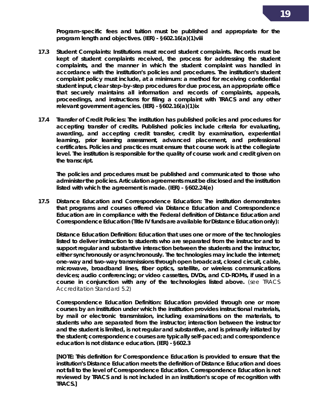**Program-specific fees and tuition must be published and appropriate for the program length and objectives. (IER) - §602.16(a)(1)viii**

- **17.3 Student Complaints: Institutions must record student complaints. Records must be kept of student complaints received, the process for addressing the student complaints, and the manner in which the student complaint was handled in accordance with the institution's policies and procedures. The institution's student complaint policy must include, at a minimum: a method for receiving confidential student input, clear step-by-step procedures for due process, an appropriate office that securely maintains all information and records of complaints, appeals, proceedings, and instructions for filing a complaint with TRACS and any other relevant government agencies. (IER) - §602.16(a)(1)ix**
- **17.4 Transfer of Credit Policies: The institution has published policies and procedures for accepting transfer of credits. Published policies include criteria for evaluating, awarding, and accepting credit transfer, credit by examination, experiential learning, prior learning assessment, advanced placement, and professional certificates. Policies and practices must ensure that course work is at the collegiate level. The institution is responsible for the quality of course work and credit given on the transcript.**

**The policies and procedures must be published and communicated to those who administer the policies. Articulation agreements must be disclosed and the institution listed with which the agreement is made. (IER) - §602.24(e)**

**17.5 Distance Education and Correspondence Education: The institution demonstrates that programs and courses offered via Distance Education and Correspondence Education are in compliance with the Federal definition of Distance Education and Correspondence Education (Title IV funds are available for Distance Education only):**

*Distance Education Definition***: Education that uses one or more of the technologies listed to deliver instruction to students who are separated from the instructor and to support regular and substantive interaction between the students and the instructor, either synchronously or asynchronously. The technologies may include the internet; one-way and two-way transmissions through open broadcast, closed circuit, cable, microwave, broadband lines, fiber optics, satellite, or wireless communications devices; audio conferencing; or video cassettes, DVDs, and CD-ROMs, if used in a course in conjunction with any of the technologies listed above.** (*see TRACS Accreditation Standard 5.2*)

*Correspondence Education Definition***: Education provided through one or more courses by an institution under which the institution provides instructional materials, by mail or electronic transmission, including examinations on the materials, to students who are separated from the instructor; interaction between the instructor and the student is limited, is not regular and substantive, and is primarily initiated by the student; correspondence courses are typically self-paced; and correspondence education is not distance education. (IER) - §602.3**

*[NOTE: This definition for Correspondence Education is provided to ensure that the institution's Distance Education meets the definition of Distance Education and does not fall to the level of Correspondence Education. Correspondence Education is not reviewed by TRACS and is not included in an institution's scope of recognition with TRACS.]*